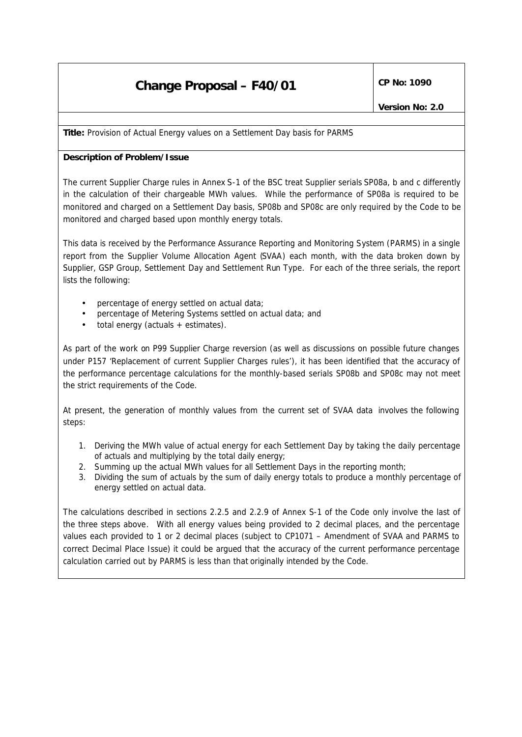# **Change Proposal – F40/01**  $\left|\begin{array}{cc} \text{CP No: } 1090 \end{array}\right|$

**Title:** Provision of Actual Energy values on a Settlement Day basis for PARMS

## **Description of Problem/Issue**

The current Supplier Charge rules in Annex S-1 of the BSC treat Supplier serials SP08a, b and c differently in the calculation of their chargeable MWh values. While the performance of SP08a is required to be monitored and charged on a Settlement Day basis, SP08b and SP08c are only required by the Code to be monitored and charged based upon monthly energy totals.

This data is received by the Performance Assurance Reporting and Monitoring System (PARMS) in a single report from the Supplier Volume Allocation Agent (SVAA) each month, with the data broken down by Supplier, GSP Group, Settlement Day and Settlement Run Type. For each of the three serials, the report lists the following:

- percentage of energy settled on actual data;
- percentage of Metering Systems settled on actual data; and
- total energy (actuals + estimates).

As part of the work on P99 Supplier Charge reversion (as well as discussions on possible future changes under P157 'Replacement of current Supplier Charges rules'), it has been identified that the accuracy of the performance percentage calculations for the monthly-based serials SP08b and SP08c may not meet the strict requirements of the Code.

At present, the generation of monthly values from the current set of SVAA data involves the following steps:

- 1. Deriving the MWh value of actual energy for each Settlement Day by taking the daily percentage of actuals and multiplying by the total daily energy;
- 2. Summing up the actual MWh values for all Settlement Days in the reporting month;
- 3. Dividing the sum of actuals by the sum of daily energy totals to produce a monthly percentage of energy settled on actual data.

The calculations described in sections 2.2.5 and 2.2.9 of Annex S-1 of the Code only involve the last of the three steps above. With all energy values being provided to 2 decimal places, and the percentage values each provided to 1 or 2 decimal places (subject to CP1071 – Amendment of SVAA and PARMS to correct Decimal Place Issue) it could be argued that the accuracy of the current performance percentage calculation carried out by PARMS is less than that originally intended by the Code.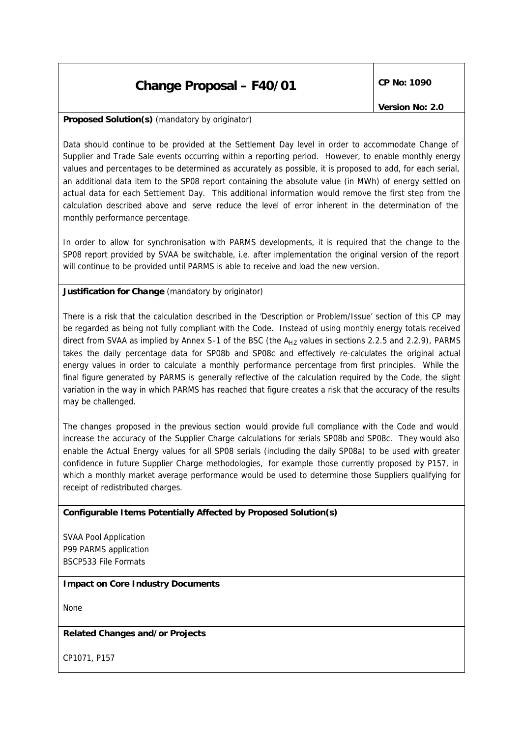## **Change Proposal – F40/01**  $\left|\begin{array}{cc} \text{CP No: } 1090 \end{array}\right|$

*Version No: 2.0*

## **Proposed Solution(s)** *(mandatory by originator)*

Data should continue to be provided at the Settlement Day level in order to accommodate Change of Supplier and Trade Sale events occurring within a reporting period. However, to enable monthly energy values and percentages to be determined as accurately as possible, it is proposed to add, for each serial, an additional data item to the SP08 report containing the absolute value (in MWh) of energy settled on actual data for each Settlement Day. This additional information would remove the first step from the calculation described above and serve reduce the level of error inherent in the determination of the monthly performance percentage.

In order to allow for synchronisation with PARMS developments, it is required that the change to the SP08 report provided by SVAA be switchable, i.e. after implementation the original version of the report will continue to be provided until PARMS is able to receive and load the new version.

## **Justification for Change** *(mandatory by originator)*

There is a risk that the calculation described in the 'Description or Problem/Issue' section of this CP may be regarded as being not fully compliant with the Code. Instead of using monthly energy totals received direct from SVAA as implied by Annex S-1 of the BSC (the  $A_{HZ}$  values in sections 2.2.5 and 2.2.9), PARMS takes the daily percentage data for SP08b and SP08c and effectively re-calculates the original actual energy values in order to calculate a monthly performance percentage from first principles. While the final figure generated by PARMS is generally reflective of the calculation required by the Code, the slight variation in the way in which PARMS has reached that figure creates a risk that the accuracy of the results may be challenged.

The changes proposed in the previous section would provide full compliance with the Code and would increase the accuracy of the Supplier Charge calculations for serials SP08b and SP08c. They would also enable the Actual Energy values for all SP08 serials (including the daily SP08a) to be used with greater confidence in future Supplier Charge methodologies, for example those currently proposed by P157, in which a monthly market average performance would be used to determine those Suppliers qualifying for receipt of redistributed charges.

#### **Configurable Items Potentially Affected by Proposed Solution(s)**

SVAA Pool Application P99 PARMS application BSCP533 File Formats

#### **Impact on Core Industry Documents**

None

#### **Related Changes and/or Projects**

CP1071, P157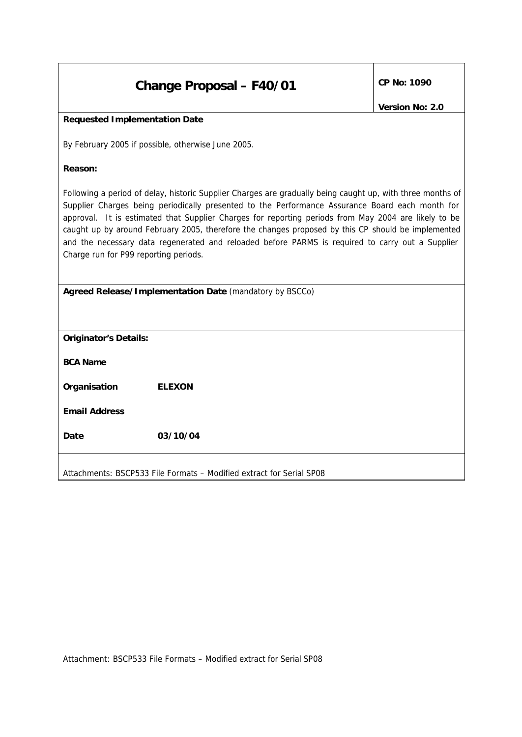| Change Proposal - F40/01 | CP No: 1090 |
|--------------------------|-------------|
|--------------------------|-------------|

## **Requested Implementation Date**

By February 2005 if possible, otherwise June 2005.

**Reason:**

Following a period of delay, historic Supplier Charges are gradually being caught up, with three months of Supplier Charges being periodically presented to the Performance Assurance Board each month for approval. It is estimated that Supplier Charges for reporting periods from May 2004 are likely to be caught up by around February 2005, therefore the changes proposed by this CP should be implemented and the necessary data regenerated and reloaded before PARMS is required to carry out a Supplier Charge run for P99 reporting periods.

**Agreed Release/Implementation Date** *(mandatory by BSCCo)*

| <b>Originator's Details:</b> |               |
|------------------------------|---------------|
| <b>BCA Name</b>              |               |
| Organisation                 | <b>ELEXON</b> |
| <b>Email Address</b>         |               |
| Date                         | 03/10/04      |
|                              |               |

Attachments: BSCP533 File Formats – Modified extract for Serial SP08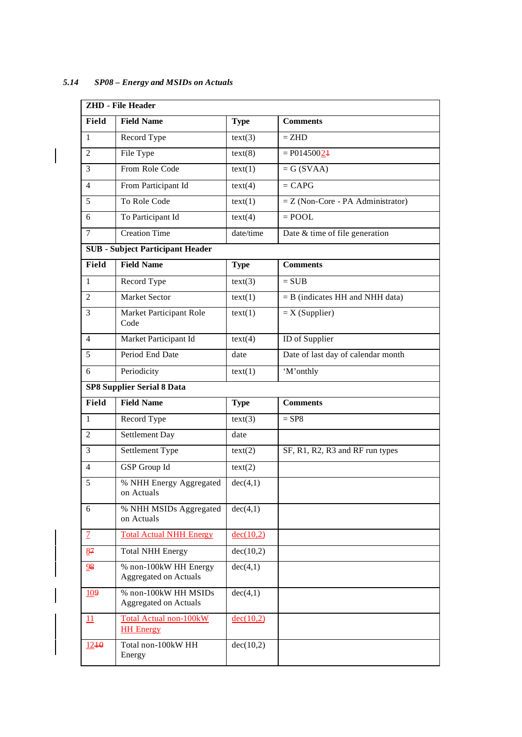|                | <b>ZHD</b> - File Header                              |             |                                     |  |  |  |
|----------------|-------------------------------------------------------|-------------|-------------------------------------|--|--|--|
| Field          | <b>Field Name</b>                                     | <b>Type</b> | <b>Comments</b>                     |  |  |  |
| $\mathbf{1}$   | Record Type                                           | text(3)     | $=$ ZHD                             |  |  |  |
| $\overline{2}$ | File Type                                             | text(8)     | $= P01450024$                       |  |  |  |
| 3              | From Role Code                                        | text(1)     | $= G(SVAA)$                         |  |  |  |
| $\overline{4}$ | From Participant Id                                   | text(4)     | $=$ CAPG                            |  |  |  |
| 5              | To Role Code                                          | text(1)     | $=$ Z (Non-Core - PA Administrator) |  |  |  |
| 6              | To Participant Id                                     | text(4)     | $=$ POOL                            |  |  |  |
| $\overline{7}$ | <b>Creation Time</b>                                  | date/time   | Date & time of file generation      |  |  |  |
|                | <b>SUB</b> - Subject Participant Header               |             |                                     |  |  |  |
| Field          | <b>Field Name</b>                                     | <b>Type</b> | <b>Comments</b>                     |  |  |  |
| $\mathbf{1}$   | Record Type                                           | text(3)     | $=$ SUB                             |  |  |  |
| 2              | <b>Market Sector</b>                                  | text(1)     | $=$ B (indicates HH and NHH data)   |  |  |  |
| 3              | Market Participant Role<br>Code                       | text(1)     | $=X(Supplier)$                      |  |  |  |
| $\overline{4}$ | Market Participant Id                                 | text(4)     | ID of Supplier                      |  |  |  |
| 5              | Period End Date                                       | date        | Date of last day of calendar month  |  |  |  |
| 6              | Periodicity                                           | text(1)     | 'M'onthly                           |  |  |  |
|                | <b>SP8 Supplier Serial 8 Data</b>                     |             |                                     |  |  |  |
| Field          | <b>Field Name</b>                                     | <b>Type</b> | <b>Comments</b>                     |  |  |  |
| $\mathbf{1}$   | Record Type                                           | text(3)     | $=$ SP8                             |  |  |  |
| $\overline{2}$ | Settlement Day                                        | date        |                                     |  |  |  |
| 3              | Settlement Type                                       | text(2)     | SF, R1, R2, R3 and RF run types     |  |  |  |
| $\overline{4}$ | GSP Group Id                                          | text(2)     |                                     |  |  |  |
| 5              | % NHH Energy Aggregated<br>on Actuals                 | dec(4,1)    |                                     |  |  |  |
| 6              | % NHH MSIDs Aggregated<br>on Actuals                  | dec(4,1)    |                                     |  |  |  |
| $\mathcal{I}$  | <b>Total Actual NHH Energy</b>                        | dec(10,2)   |                                     |  |  |  |
| 87             | <b>Total NHH Energy</b>                               | dec(10,2)   |                                     |  |  |  |
| 98             | % non-100kW HH Energy<br><b>Aggregated on Actuals</b> | dec(4,1)    |                                     |  |  |  |
| 109            | % non-100kW HH MSIDs<br><b>Aggregated on Actuals</b>  | dec(4,1)    |                                     |  |  |  |
| 11             | <b>Total Actual non-100kW</b><br><b>HH Energy</b>     | dec(10,2)   |                                     |  |  |  |
| $12 + 0$       | Total non-100kW HH<br>Energy                          | dec(10,2)   |                                     |  |  |  |

*5.14 SP08 – Energy and MSIDs on Actuals*

 $\overline{\phantom{a}}$